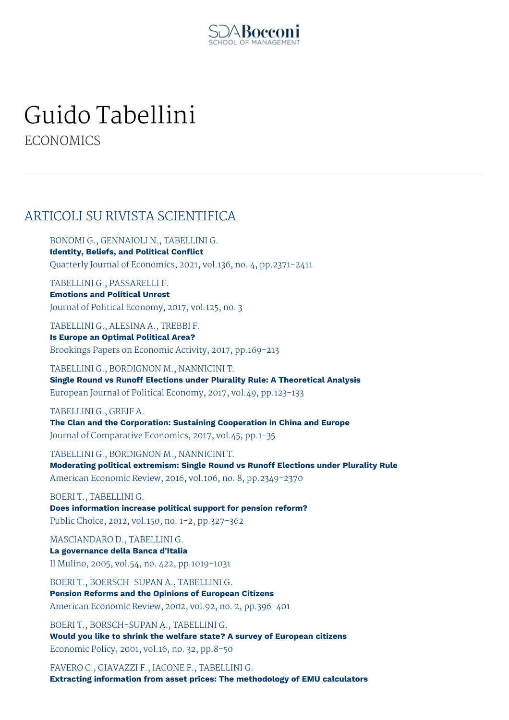

# Guido Tabellini

**ECONOMICS** 

### ARTICOLI SU RIVISTA SCIENTIFICA

BONOMI G., GENNAIOLI N., TABELLINI G. **Identity, Beliefs, and Political Conflict** Quarterly Journal of Economics, 2021, vol.136, no. 4, pp.2371-2411

TABELLINI G., PASSARELLI F. **Emotions and Political Unrest** Journal of Political Economy, 2017, vol.125, no. 3

TABELLINI G., ALESINA A., TREBBI F. **Is Europe an Optimal Political Area?** Brookings Papers on Economic Activity, 2017, pp.169-213

TABELLINI G., BORDIGNON M., NANNICINI T. **Single Round vs Runoff Elections under Plurality Rule: A Theoretical Analysis** European Journal of Political Economy, 2017, vol.49, pp.123-133

TABELLINI G., GREIF A. **The Clan and the Corporation: Sustaining Cooperation in China and Europe** Journal of Comparative Economics, 2017, vol.45, pp.1-35

TABELLINI G., BORDIGNON M., NANNICINI T. **Moderating political extremism: Single Round vs Runoff Elections under Plurality Rule** American Economic Review, 2016, vol.106, no. 8, pp.2349-2370

BOERI T., TABELLINI G. **Does information increase political support for pension reform?** Public Choice, 2012, vol.150, no. 1-2, pp.327-362

MASCIANDARO D., TABELLINI G. **La governance della Banca d'Italia** Il Mulino, 2005, vol.54, no. 422, pp.1019-1031

BOERI T., BOERSCH-SUPAN A., TABELLINI G. **Pension Reforms and the Opinions of European Citizens** American Economic Review, 2002, vol.92, no. 2, pp.396-401

BOERI T., BORSCH-SUPAN A., TABELLINI G. **Would you like to shrink the welfare state? A survey of European citizens** Economic Policy, 2001, vol.16, no. 32, pp.8-50

FAVERO C., GIAVAZZI F., IACONE F., TABELLINI G. **Extracting information from asset prices: The methodology of EMU calculators**